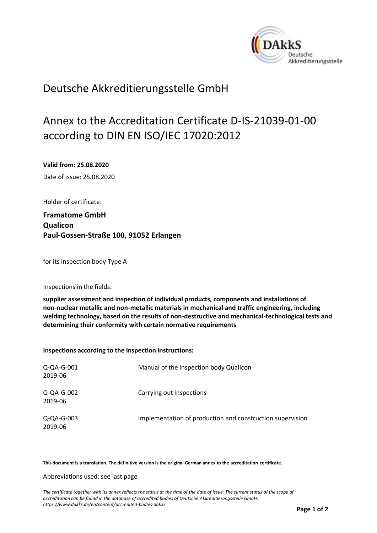<span id="page-0-0"></span>

## Deutsche Akkreditierungsstelle GmbH

## Annex to the Accreditation Certificate D-IS-21039-01-00 according to DIN EN ISO/IEC 17020:2012

<span id="page-0-1"></span>**Valid from: 25.08.2020**

<span id="page-0-2"></span>Date of issue: 25.08.2020

Holder of certificate:

**Framatome GmbH Qualicon Paul-Gossen-Straße 100, 91052 Erlangen**

for its inspection body Type A

Inspections in the fields:

**supplier assessment and inspection of individual products, components and installations of non-nuclear metallic and non-metallic materials in mechanical and traffic engineering, including welding technology, based on the results of non-destructive and mechanical-technological tests and determining their conformity with certain normative requirements**

**Inspections according to the inspection instructions:**

| Q-QA-G-001<br>2019-06    | Manual of the inspection body Qualicon                    |
|--------------------------|-----------------------------------------------------------|
| Q-QA-G-002<br>2019-06    | Carrying out inspections                                  |
| $Q$ -QA-G-003<br>2019-06 | Implementation of production and construction supervision |

**This document is a translation. The definitive version is the original German annex to the accreditation certificate.**

## Abbreviations used: see last page

*The certificate together with its annex reflects the status at the time of the date of issue. The current status of the scope of accreditation can be found in the database of accredited bodies of Deutsche Akkreditierungsstelle GmbH. <https://www.dakks.de/en/content/accredited-bodies-dakks>*